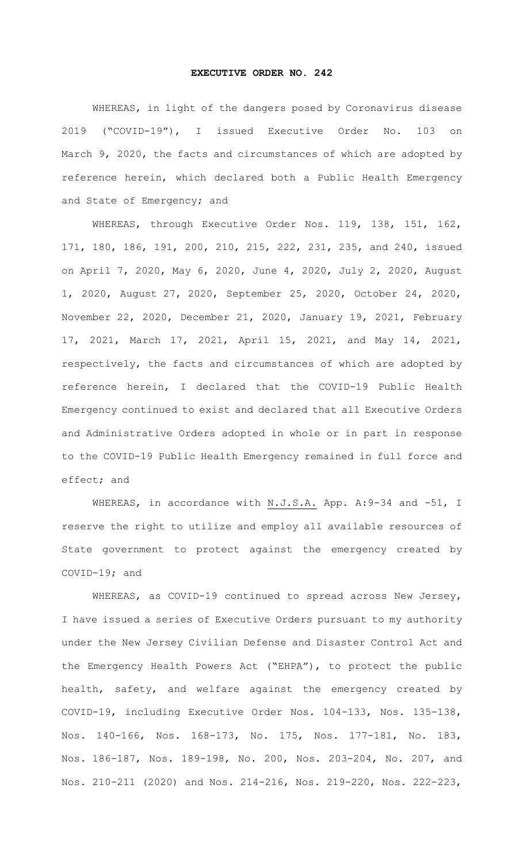## **EXECUTIVE ORDER NO. 242**

WHEREAS, in light of the dangers posed by Coronavirus disease 2019 ("COVID-19"), I issued Executive Order No. 103 on March 9, 2020, the facts and circumstances of which are adopted by reference herein, which declared both a Public Health Emergency and State of Emergency; and

WHEREAS, through Executive Order Nos. 119, 138, 151, 162, 171, 180, 186, 191, 200, 210, 215, 222, 231, 235, and 240, issued on April 7, 2020, May 6, 2020, June 4, 2020, July 2, 2020, August 1, 2020, August 27, 2020, September 25, 2020, October 24, 2020, November 22, 2020, December 21, 2020, January 19, 2021, February 17, 2021, March 17, 2021, April 15, 2021, and May 14, 2021, respectively, the facts and circumstances of which are adopted by reference herein, I declared that the COVID-19 Public Health Emergency continued to exist and declared that all Executive Orders and Administrative Orders adopted in whole or in part in response to the COVID-19 Public Health Emergency remained in full force and effect; and

WHEREAS, in accordance with N.J.S.A. App. A: 9-34 and -51, I reserve the right to utilize and employ all available resources of State government to protect against the emergency created by COVID-19; and

WHEREAS, as COVID-19 continued to spread across New Jersey, I have issued a series of Executive Orders pursuant to my authority under the New Jersey Civilian Defense and Disaster Control Act and the Emergency Health Powers Act ("EHPA"), to protect the public health, safety, and welfare against the emergency created by COVID-19, including Executive Order Nos. 104-133, Nos. 135-138, Nos. 140-166, Nos. 168-173, No. 175, Nos. 177-181, No. 183, Nos. 186-187, Nos. 189-198, No. 200, Nos. 203-204, No. 207, and Nos. 210-211 (2020) and Nos. 214-216, Nos. 219-220, Nos. 222-223,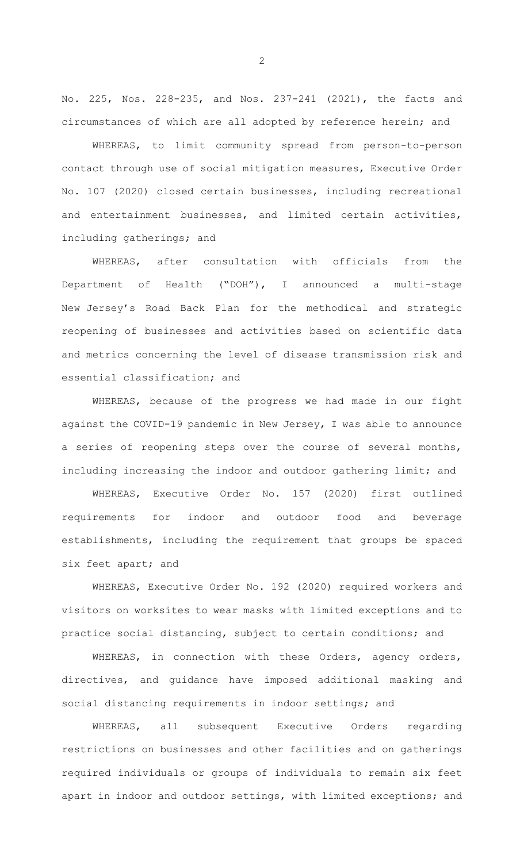No. 225, Nos. 228-235, and Nos. 237-241 (2021), the facts and circumstances of which are all adopted by reference herein; and

WHEREAS, to limit community spread from person-to-person contact through use of social mitigation measures, Executive Order No. 107 (2020) closed certain businesses, including recreational and entertainment businesses, and limited certain activities, including gatherings; and

WHEREAS, after consultation with officials from the Department of Health ("DOH"), I announced a multi-stage New Jersey's Road Back Plan for the methodical and strategic reopening of businesses and activities based on scientific data and metrics concerning the level of disease transmission risk and essential classification; and

WHEREAS, because of the progress we had made in our fight against the COVID-19 pandemic in New Jersey, I was able to announce a series of reopening steps over the course of several months, including increasing the indoor and outdoor gathering limit; and

WHEREAS, Executive Order No. 157 (2020) first outlined requirements for indoor and outdoor food and beverage establishments, including the requirement that groups be spaced six feet apart; and

WHEREAS, Executive Order No. 192 (2020) required workers and visitors on worksites to wear masks with limited exceptions and to practice social distancing, subject to certain conditions; and

WHEREAS, in connection with these Orders, agency orders, directives, and guidance have imposed additional masking and social distancing requirements in indoor settings; and

WHEREAS, all subsequent Executive Orders regarding restrictions on businesses and other facilities and on gatherings required individuals or groups of individuals to remain six feet apart in indoor and outdoor settings, with limited exceptions; and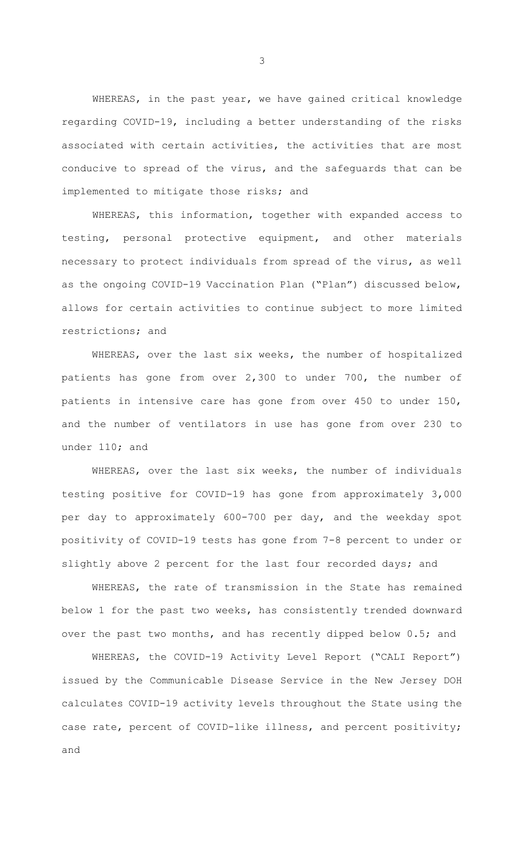WHEREAS, in the past year, we have gained critical knowledge regarding COVID-19, including a better understanding of the risks associated with certain activities, the activities that are most conducive to spread of the virus, and the safeguards that can be implemented to mitigate those risks; and

WHEREAS, this information, together with expanded access to testing, personal protective equipment, and other materials necessary to protect individuals from spread of the virus, as well as the ongoing COVID-19 Vaccination Plan ("Plan") discussed below, allows for certain activities to continue subject to more limited restrictions; and

WHEREAS, over the last six weeks, the number of hospitalized patients has gone from over 2,300 to under 700, the number of patients in intensive care has gone from over 450 to under 150, and the number of ventilators in use has gone from over 230 to under 110; and

WHEREAS, over the last six weeks, the number of individuals testing positive for COVID-19 has gone from approximately 3,000 per day to approximately 600-700 per day, and the weekday spot positivity of COVID-19 tests has gone from 7-8 percent to under or slightly above 2 percent for the last four recorded days; and

WHEREAS, the rate of transmission in the State has remained below 1 for the past two weeks, has consistently trended downward over the past two months, and has recently dipped below 0.5; and

WHEREAS, the COVID-19 Activity Level Report ("CALI Report") issued by the Communicable Disease Service in the New Jersey DOH calculates COVID-19 activity levels throughout the State using the case rate, percent of COVID-like illness, and percent positivity; and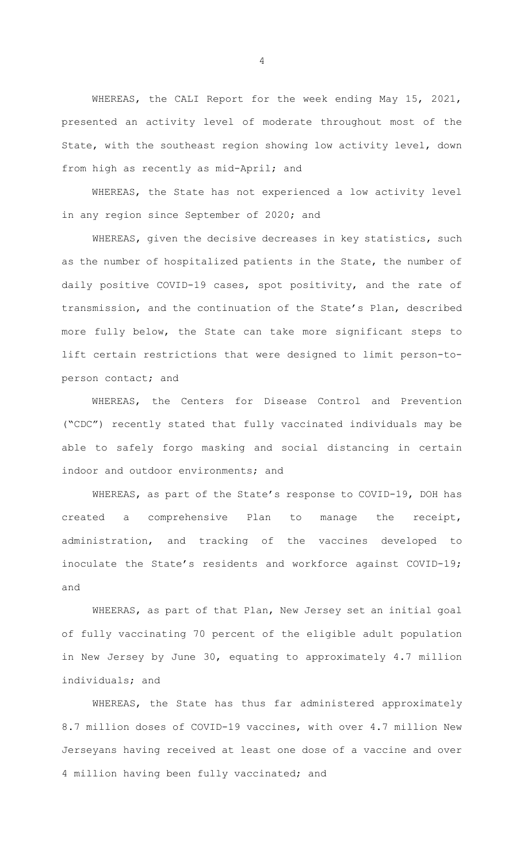WHEREAS, the CALI Report for the week ending May 15, 2021, presented an activity level of moderate throughout most of the State, with the southeast region showing low activity level, down from high as recently as mid-April; and

WHEREAS, the State has not experienced a low activity level in any region since September of 2020; and

WHEREAS, given the decisive decreases in key statistics, such as the number of hospitalized patients in the State, the number of daily positive COVID-19 cases, spot positivity, and the rate of transmission, and the continuation of the State's Plan, described more fully below, the State can take more significant steps to lift certain restrictions that were designed to limit person-toperson contact; and

WHEREAS, the Centers for Disease Control and Prevention ("CDC") recently stated that fully vaccinated individuals may be able to safely forgo masking and social distancing in certain indoor and outdoor environments; and

WHEREAS, as part of the State's response to COVID-19, DOH has created a comprehensive Plan to manage the receipt, administration, and tracking of the vaccines developed to inoculate the State's residents and workforce against COVID-19; and

WHEERAS, as part of that Plan, New Jersey set an initial goal of fully vaccinating 70 percent of the eligible adult population in New Jersey by June 30, equating to approximately 4.7 million individuals; and

WHEREAS, the State has thus far administered approximately 8.7 million doses of COVID-19 vaccines, with over 4.7 million New Jerseyans having received at least one dose of a vaccine and over 4 million having been fully vaccinated; and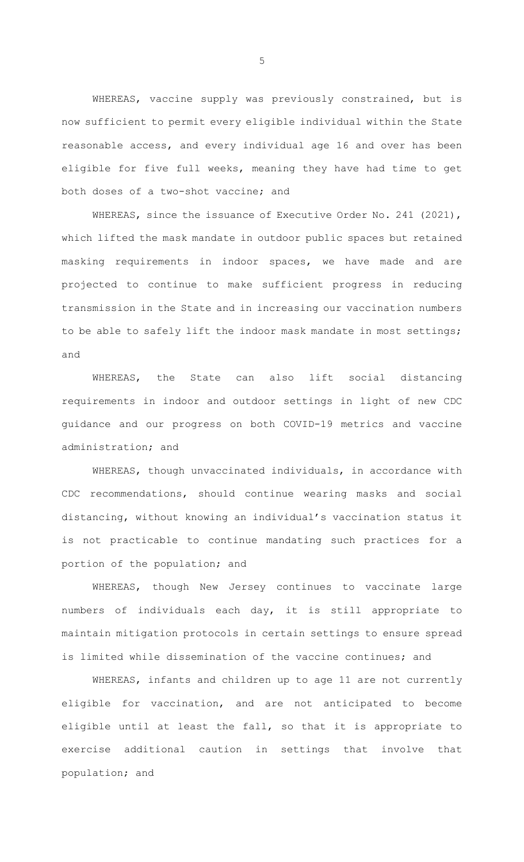WHEREAS, vaccine supply was previously constrained, but is now sufficient to permit every eligible individual within the State reasonable access, and every individual age 16 and over has been eligible for five full weeks, meaning they have had time to get both doses of a two-shot vaccine; and

WHEREAS, since the issuance of Executive Order No. 241 (2021), which lifted the mask mandate in outdoor public spaces but retained masking requirements in indoor spaces, we have made and are projected to continue to make sufficient progress in reducing transmission in the State and in increasing our vaccination numbers to be able to safely lift the indoor mask mandate in most settings; and

WHEREAS, the State can also lift social distancing requirements in indoor and outdoor settings in light of new CDC guidance and our progress on both COVID-19 metrics and vaccine administration; and

WHEREAS, though unvaccinated individuals, in accordance with CDC recommendations, should continue wearing masks and social distancing, without knowing an individual's vaccination status it is not practicable to continue mandating such practices for a portion of the population; and

WHEREAS, though New Jersey continues to vaccinate large numbers of individuals each day, it is still appropriate to maintain mitigation protocols in certain settings to ensure spread is limited while dissemination of the vaccine continues; and

WHEREAS, infants and children up to age 11 are not currently eligible for vaccination, and are not anticipated to become eligible until at least the fall, so that it is appropriate to exercise additional caution in settings that involve that population; and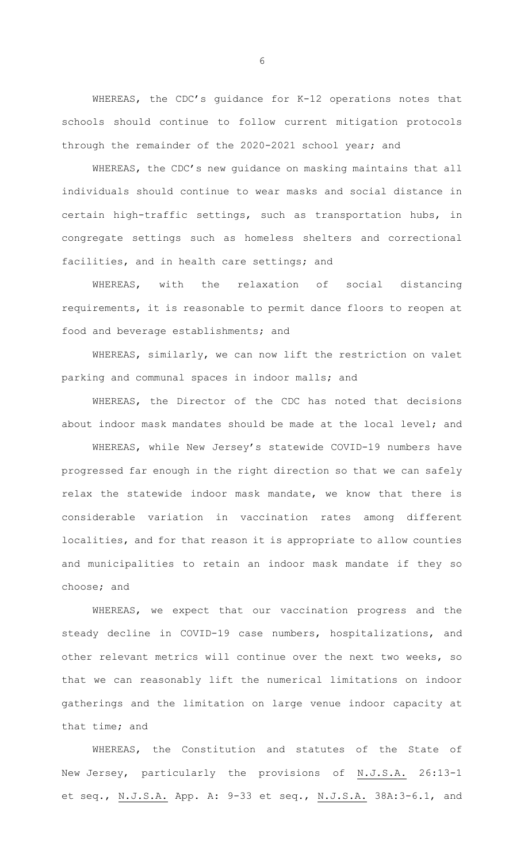WHEREAS, the CDC's guidance for K-12 operations notes that schools should continue to follow current mitigation protocols through the remainder of the 2020-2021 school year; and

WHEREAS, the CDC's new guidance on masking maintains that all individuals should continue to wear masks and social distance in certain high-traffic settings, such as transportation hubs, in congregate settings such as homeless shelters and correctional facilities, and in health care settings; and

WHEREAS, with the relaxation of social distancing requirements, it is reasonable to permit dance floors to reopen at food and beverage establishments; and

WHEREAS, similarly, we can now lift the restriction on valet parking and communal spaces in indoor malls; and

WHEREAS, the Director of the CDC has noted that decisions about indoor mask mandates should be made at the local level; and

WHEREAS, while New Jersey's statewide COVID-19 numbers have progressed far enough in the right direction so that we can safely relax the statewide indoor mask mandate, we know that there is considerable variation in vaccination rates among different localities, and for that reason it is appropriate to allow counties and municipalities to retain an indoor mask mandate if they so choose; and

WHEREAS, we expect that our vaccination progress and the steady decline in COVID-19 case numbers, hospitalizations, and other relevant metrics will continue over the next two weeks, so that we can reasonably lift the numerical limitations on indoor gatherings and the limitation on large venue indoor capacity at that time; and

WHEREAS, the Constitution and statutes of the State of New Jersey, particularly the provisions of N.J.S.A. 26:13-1 et seq., N.J.S.A. App. A: 9-33 et seq., N.J.S.A. 38A:3-6.1, and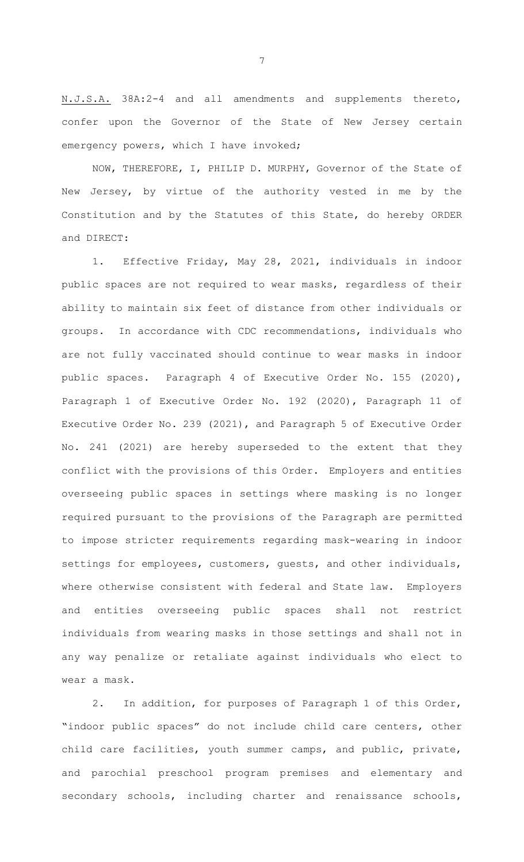N.J.S.A. 38A:2-4 and all amendments and supplements thereto, confer upon the Governor of the State of New Jersey certain emergency powers, which I have invoked;

NOW, THEREFORE, I, PHILIP D. MURPHY, Governor of the State of New Jersey, by virtue of the authority vested in me by the Constitution and by the Statutes of this State, do hereby ORDER and DIRECT:

1. Effective Friday, May 28, 2021, individuals in indoor public spaces are not required to wear masks, regardless of their ability to maintain six feet of distance from other individuals or groups. In accordance with CDC recommendations, individuals who are not fully vaccinated should continue to wear masks in indoor public spaces. Paragraph 4 of Executive Order No. 155 (2020), Paragraph 1 of Executive Order No. 192 (2020), Paragraph 11 of Executive Order No. 239 (2021), and Paragraph 5 of Executive Order No. 241 (2021) are hereby superseded to the extent that they conflict with the provisions of this Order. Employers and entities overseeing public spaces in settings where masking is no longer required pursuant to the provisions of the Paragraph are permitted to impose stricter requirements regarding mask-wearing in indoor settings for employees, customers, guests, and other individuals, where otherwise consistent with federal and State law. Employers and entities overseeing public spaces shall not restrict individuals from wearing masks in those settings and shall not in any way penalize or retaliate against individuals who elect to wear a mask.

2. In addition, for purposes of Paragraph 1 of this Order, "indoor public spaces" do not include child care centers, other child care facilities, youth summer camps, and public, private, and parochial preschool program premises and elementary and secondary schools, including charter and renaissance schools,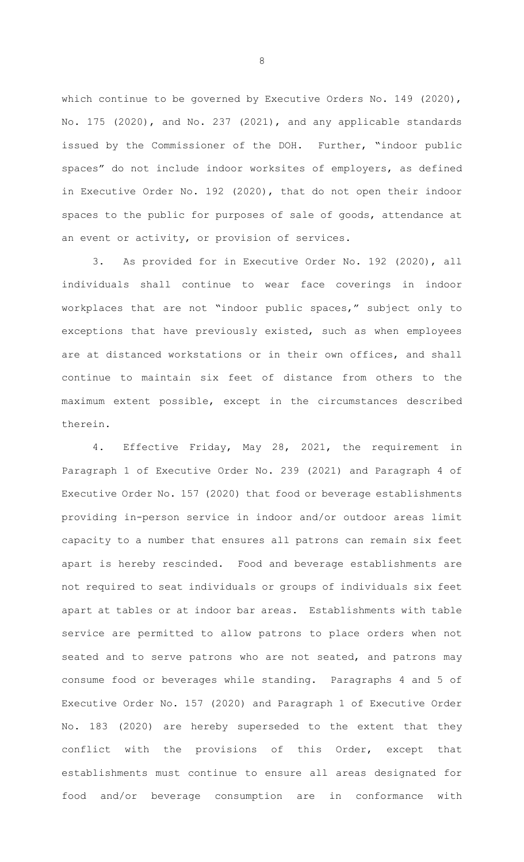which continue to be governed by Executive Orders No. 149 (2020), No. 175 (2020), and No. 237 (2021), and any applicable standards issued by the Commissioner of the DOH. Further, "indoor public spaces" do not include indoor worksites of employers, as defined in Executive Order No. 192 (2020), that do not open their indoor spaces to the public for purposes of sale of goods, attendance at an event or activity, or provision of services.

3. As provided for in Executive Order No. 192 (2020), all individuals shall continue to wear face coverings in indoor workplaces that are not "indoor public spaces," subject only to exceptions that have previously existed, such as when employees are at distanced workstations or in their own offices, and shall continue to maintain six feet of distance from others to the maximum extent possible, except in the circumstances described therein.

4. Effective Friday, May 28, 2021, the requirement in Paragraph 1 of Executive Order No. 239 (2021) and Paragraph 4 of Executive Order No. 157 (2020) that food or beverage establishments providing in-person service in indoor and/or outdoor areas limit capacity to a number that ensures all patrons can remain six feet apart is hereby rescinded. Food and beverage establishments are not required to seat individuals or groups of individuals six feet apart at tables or at indoor bar areas. Establishments with table service are permitted to allow patrons to place orders when not seated and to serve patrons who are not seated, and patrons may consume food or beverages while standing. Paragraphs 4 and 5 of Executive Order No. 157 (2020) and Paragraph 1 of Executive Order No. 183 (2020) are hereby superseded to the extent that they conflict with the provisions of this Order, except that establishments must continue to ensure all areas designated for food and/or beverage consumption are in conformance with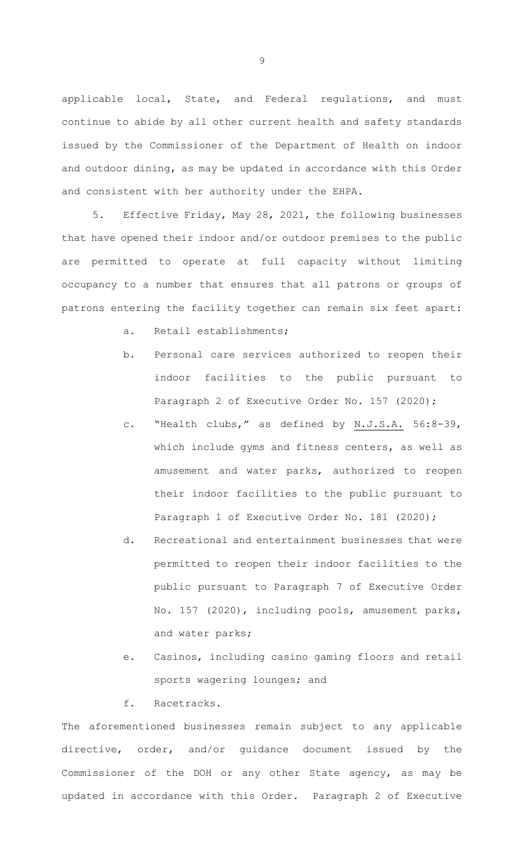applicable local, State, and Federal regulations, and must continue to abide by all other current health and safety standards issued by the Commissioner of the Department of Health on indoor and outdoor dining, as may be updated in accordance with this Order and consistent with her authority under the EHPA.

5. Effective Friday, May 28, 2021, the following businesses that have opened their indoor and/or outdoor premises to the public are permitted to operate at full capacity without limiting occupancy to a number that ensures that all patrons or groups of patrons entering the facility together can remain six feet apart:

- a. Retail establishments;
- b. Personal care services authorized to reopen their indoor facilities to the public pursuant to Paragraph 2 of Executive Order No. 157 (2020);
- c. "Health clubs," as defined by N.J.S.A. 56:8-39, which include gyms and fitness centers, as well as amusement and water parks, authorized to reopen their indoor facilities to the public pursuant to Paragraph 1 of Executive Order No. 181 (2020);
- d. Recreational and entertainment businesses that were permitted to reopen their indoor facilities to the public pursuant to Paragraph 7 of Executive Order No. 157 (2020), including pools, amusement parks, and water parks;
- e. Casinos, including casino gaming floors and retail sports wagering lounges; and
- f. Racetracks.

The aforementioned businesses remain subject to any applicable directive, order, and/or guidance document issued by the Commissioner of the DOH or any other State agency, as may be updated in accordance with this Order. Paragraph 2 of Executive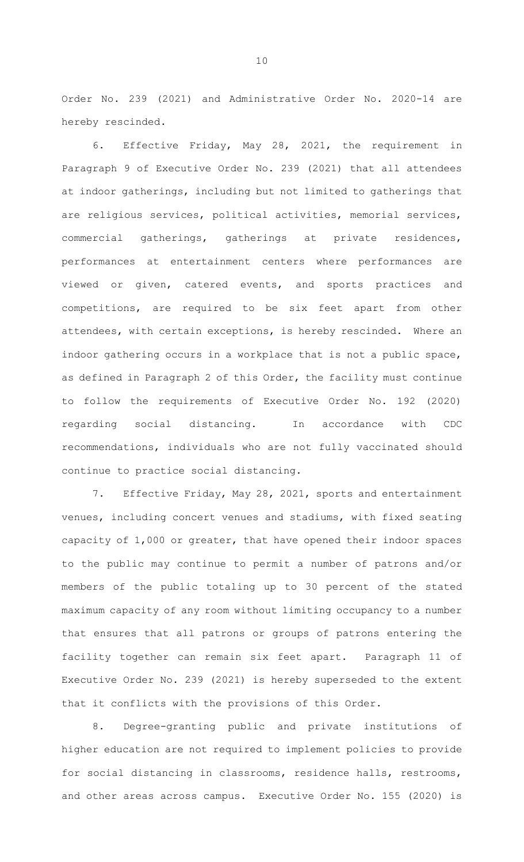Order No. 239 (2021) and Administrative Order No. 2020-14 are hereby rescinded.

6. Effective Friday, May 28, 2021, the requirement in Paragraph 9 of Executive Order No. 239 (2021) that all attendees at indoor gatherings, including but not limited to gatherings that are religious services, political activities, memorial services, commercial gatherings, gatherings at private residences, performances at entertainment centers where performances are viewed or given, catered events, and sports practices and competitions, are required to be six feet apart from other attendees, with certain exceptions, is hereby rescinded. Where an indoor gathering occurs in a workplace that is not a public space, as defined in Paragraph 2 of this Order, the facility must continue to follow the requirements of Executive Order No. 192 (2020) regarding social distancing. In accordance with CDC recommendations, individuals who are not fully vaccinated should continue to practice social distancing.

7. Effective Friday, May 28, 2021, sports and entertainment venues, including concert venues and stadiums, with fixed seating capacity of 1,000 or greater, that have opened their indoor spaces to the public may continue to permit a number of patrons and/or members of the public totaling up to 30 percent of the stated maximum capacity of any room without limiting occupancy to a number that ensures that all patrons or groups of patrons entering the facility together can remain six feet apart. Paragraph 11 of Executive Order No. 239 (2021) is hereby superseded to the extent that it conflicts with the provisions of this Order.

8. Degree-granting public and private institutions of higher education are not required to implement policies to provide for social distancing in classrooms, residence halls, restrooms, and other areas across campus. Executive Order No. 155 (2020) is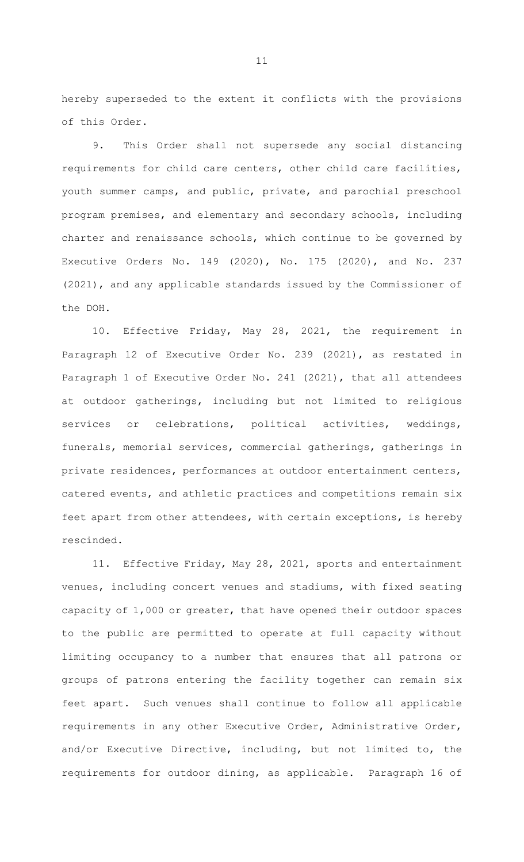hereby superseded to the extent it conflicts with the provisions of this Order.

9. This Order shall not supersede any social distancing requirements for child care centers, other child care facilities, youth summer camps, and public, private, and parochial preschool program premises, and elementary and secondary schools, including charter and renaissance schools, which continue to be governed by Executive Orders No. 149 (2020), No. 175 (2020), and No. 237 (2021), and any applicable standards issued by the Commissioner of the DOH.

10. Effective Friday, May 28, 2021, the requirement in Paragraph 12 of Executive Order No. 239 (2021), as restated in Paragraph 1 of Executive Order No. 241 (2021), that all attendees at outdoor gatherings, including but not limited to religious services or celebrations, political activities, weddings, funerals, memorial services, commercial gatherings, gatherings in private residences, performances at outdoor entertainment centers, catered events, and athletic practices and competitions remain six feet apart from other attendees, with certain exceptions, is hereby rescinded.

11. Effective Friday, May 28, 2021, sports and entertainment venues, including concert venues and stadiums, with fixed seating capacity of 1,000 or greater, that have opened their outdoor spaces to the public are permitted to operate at full capacity without limiting occupancy to a number that ensures that all patrons or groups of patrons entering the facility together can remain six feet apart. Such venues shall continue to follow all applicable requirements in any other Executive Order, Administrative Order, and/or Executive Directive, including, but not limited to, the requirements for outdoor dining, as applicable. Paragraph 16 of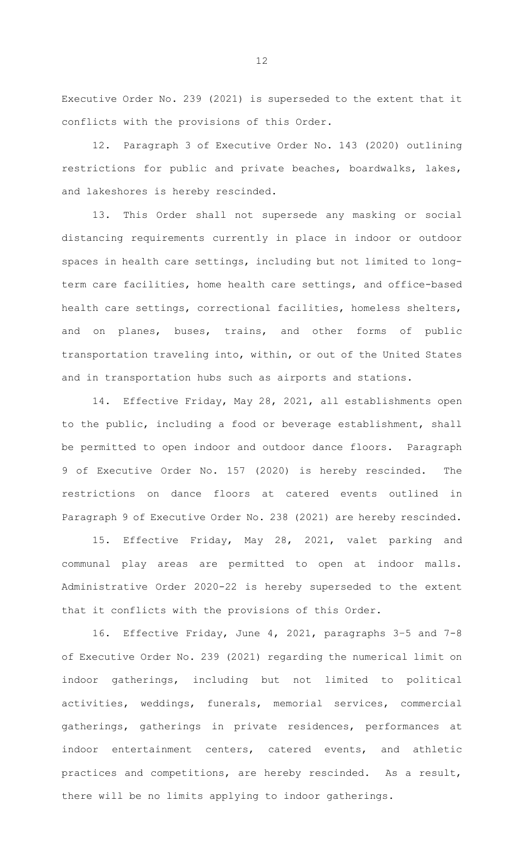Executive Order No. 239 (2021) is superseded to the extent that it conflicts with the provisions of this Order.

12. Paragraph 3 of Executive Order No. 143 (2020) outlining restrictions for public and private beaches, boardwalks, lakes, and lakeshores is hereby rescinded.

13. This Order shall not supersede any masking or social distancing requirements currently in place in indoor or outdoor spaces in health care settings, including but not limited to longterm care facilities, home health care settings, and office-based health care settings, correctional facilities, homeless shelters, and on planes, buses, trains, and other forms of public transportation traveling into, within, or out of the United States and in transportation hubs such as airports and stations.

14. Effective Friday, May 28, 2021, all establishments open to the public, including a food or beverage establishment, shall be permitted to open indoor and outdoor dance floors. Paragraph 9 of Executive Order No. 157 (2020) is hereby rescinded. The restrictions on dance floors at catered events outlined in Paragraph 9 of Executive Order No. 238 (2021) are hereby rescinded.

15. Effective Friday, May 28, 2021, valet parking and communal play areas are permitted to open at indoor malls. Administrative Order 2020-22 is hereby superseded to the extent that it conflicts with the provisions of this Order.

16. Effective Friday, June 4, 2021, paragraphs 3–5 and 7-8 of Executive Order No. 239 (2021) regarding the numerical limit on indoor gatherings, including but not limited to political activities, weddings, funerals, memorial services, commercial gatherings, gatherings in private residences, performances at indoor entertainment centers, catered events, and athletic practices and competitions, are hereby rescinded. As a result, there will be no limits applying to indoor gatherings.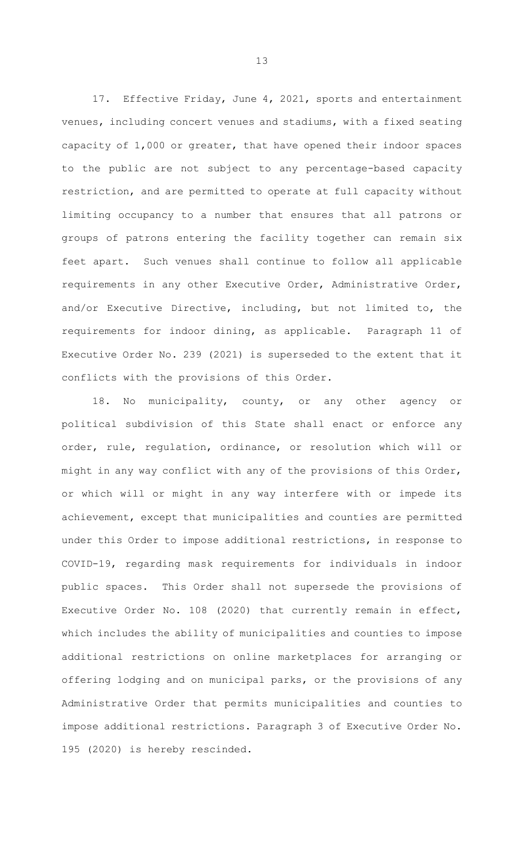17. Effective Friday, June 4, 2021, sports and entertainment venues, including concert venues and stadiums, with a fixed seating capacity of 1,000 or greater, that have opened their indoor spaces to the public are not subject to any percentage-based capacity restriction, and are permitted to operate at full capacity without limiting occupancy to a number that ensures that all patrons or groups of patrons entering the facility together can remain six feet apart. Such venues shall continue to follow all applicable requirements in any other Executive Order, Administrative Order, and/or Executive Directive, including, but not limited to, the requirements for indoor dining, as applicable. Paragraph 11 of Executive Order No. 239 (2021) is superseded to the extent that it conflicts with the provisions of this Order.

18. No municipality, county, or any other agency or political subdivision of this State shall enact or enforce any order, rule, regulation, ordinance, or resolution which will or might in any way conflict with any of the provisions of this Order, or which will or might in any way interfere with or impede its achievement, except that municipalities and counties are permitted under this Order to impose additional restrictions, in response to COVID-19, regarding mask requirements for individuals in indoor public spaces. This Order shall not supersede the provisions of Executive Order No. 108 (2020) that currently remain in effect, which includes the ability of municipalities and counties to impose additional restrictions on online marketplaces for arranging or offering lodging and on municipal parks, or the provisions of any Administrative Order that permits municipalities and counties to impose additional restrictions. Paragraph 3 of Executive Order No. 195 (2020) is hereby rescinded.